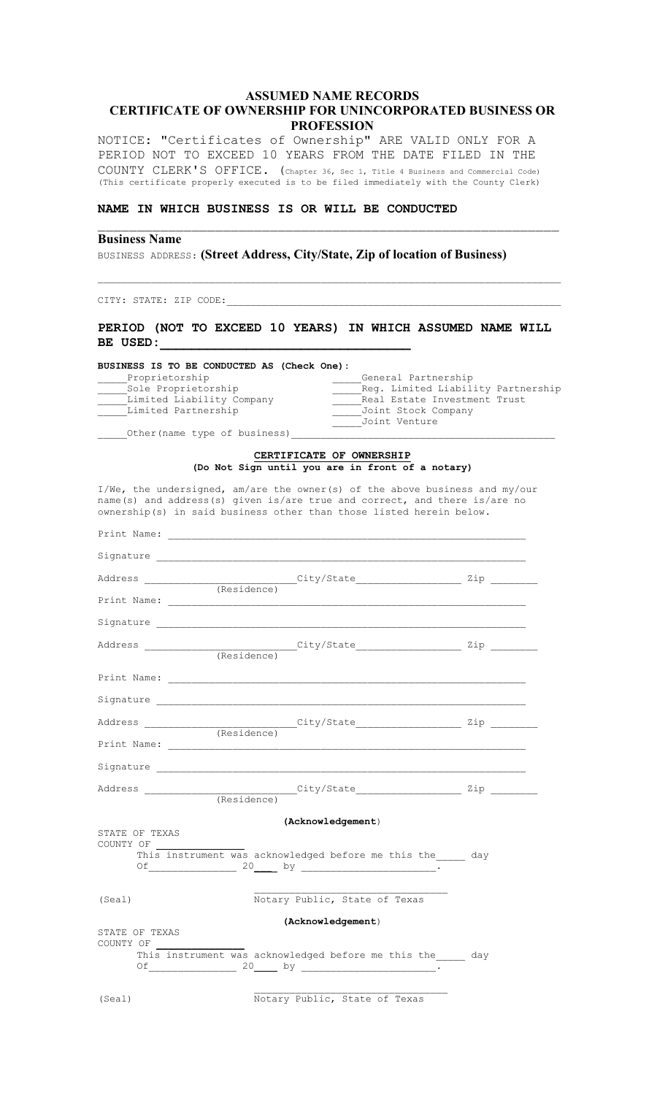## ASSUMED NAME RECORDS CERTIFICATE OF OWNERSHIP FOR UNINCORPORATED BUSINESS OR PROFESSION

 $\_$  , and the contribution of the contribution of  $\mathcal{L}_\mathcal{A}$  , and the contribution of  $\mathcal{L}_\mathcal{A}$ 

 $\_$  , and the set of the set of the set of the set of the set of the set of the set of the set of the set of the set of the set of the set of the set of the set of the set of the set of the set of the set of the set of th

NOTICE: "Certificates of Ownership" ARE VALID ONLY FOR A PERIOD NOT TO EXCEED 10 YEARS FROM THE DATE FILED IN THE COUNTY CLERK'S OFFICE. (Chapter 36, Sec 1, Title 4 Business and Commercial Code) (This certificate properly executed is to be filed immediately with the County Clerk)

## NAME IN WHICH BUSINESS IS OR WILL BE CONDUCTED

### Business Name

BUSINESS ADDRESS: (Street Address, City/State, Zip of location of Business)

CITY: STATE: ZIP CODE:

## PERIOD (NOT TO EXCEED 10 YEARS) IN WHICH ASSUMED NAME WILL BE USED:

#### BUSINESS IS TO BE CONDUCTED AS (Check One): General Partnership \_\_\_\_\_Sole Proprietorship \_\_\_\_\_Reg. Limited Liability Partnership \_\_\_\_\_Limited Liability Company \_\_\_\_\_Real Estate Investment Trust \_\_\_\_\_Limited Partnership \_\_\_\_\_Joint Stock Company \_\_\_\_\_Joint Venture

\_Other(name type of business)

#### CERTIFICATE OF OWNERSHIP (Do Not Sign until you are in front of a notary)

I/We, the undersigned, am/are the owner(s) of the above business and my/our name(s) and address(s) given is/are true and correct, and there is/are no ownership(s) in said business other than those listed herein below.

|                             | (Acknowledgement)                                       |  |
|-----------------------------|---------------------------------------------------------|--|
| STATE OF TEXAS<br>COUNTY OF | This instrument was acknowledged before me this the day |  |
| (Seal)                      | Notary Public, State of Texas                           |  |
| STATE OF TEXAS<br>COUNTY OF | (Acknowledgement)                                       |  |
|                             | This instrument was acknowledged before me this the day |  |
| (Seal)                      | Notary Public, State of Texas                           |  |